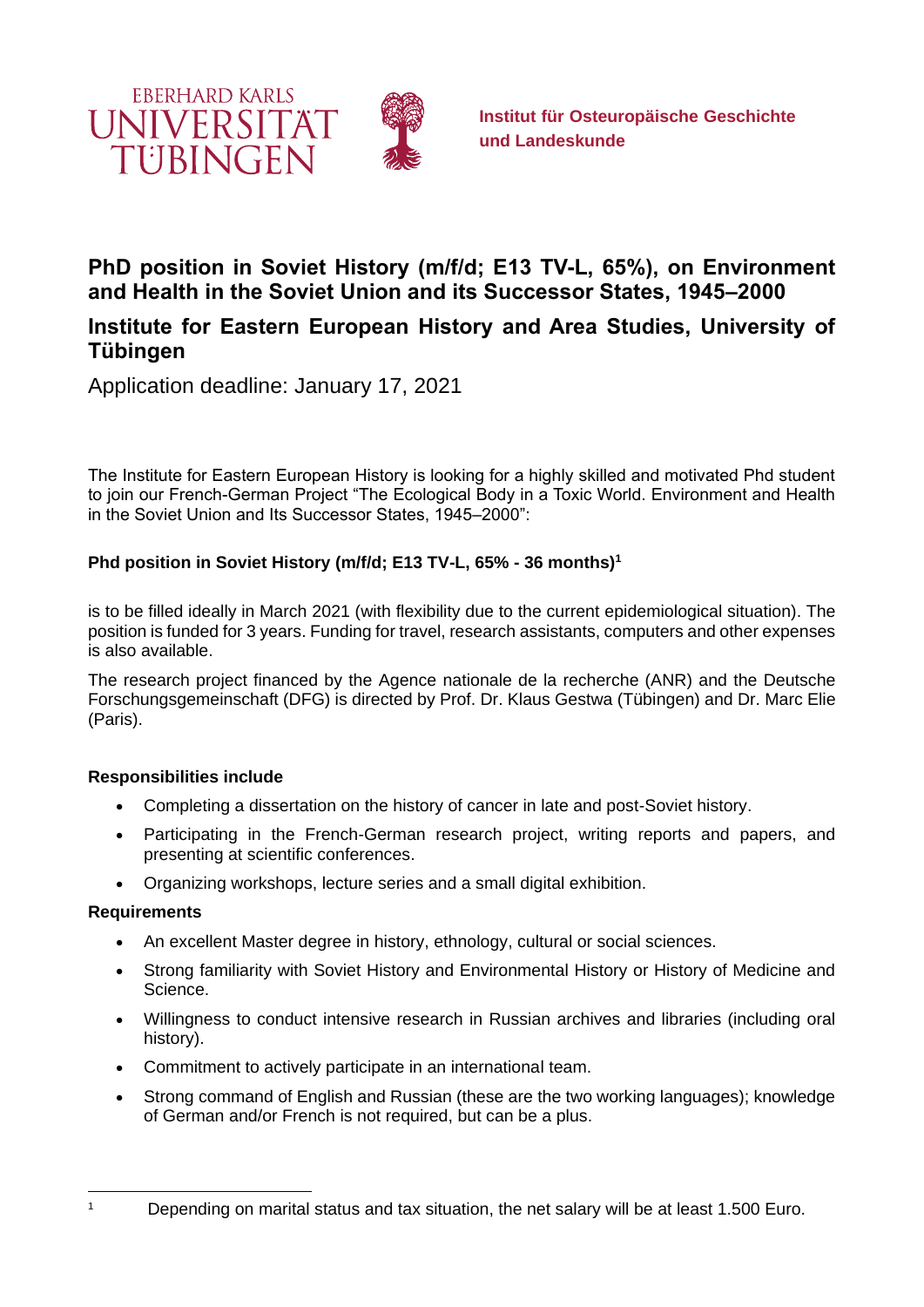

# **PhD position in Soviet History (m/f/d; E13 TV-L, 65%), on Environment and Health in the Soviet Union and its Successor States, 1945–2000**

## **Institute for Eastern European History and Area Studies, University of Tübingen**

Application deadline: January 17, 2021

The Institute for Eastern European History is looking for a highly skilled and motivated Phd student to join our French-German Project "The Ecological Body in a Toxic World. Environment and Health in the Soviet Union and Its Successor States, 1945–2000":

## **Phd position in Soviet History (m/f/d; E13 TV-L, 65% - 36 months)<sup>1</sup>**

is to be filled ideally in March 2021 (with flexibility due to the current epidemiological situation). The position is funded for 3 years. Funding for travel, research assistants, computers and other expenses is also available.

The research project financed by the Agence nationale de la recherche (ANR) and the Deutsche Forschungsgemeinschaft (DFG) is directed by Prof. Dr. Klaus Gestwa (Tübingen) and Dr. Marc Elie (Paris).

## **Responsibilities include**

- Completing a dissertation on the history of cancer in late and post-Soviet history.
- Participating in the French-German research project, writing reports and papers, and presenting at scientific conferences.
- Organizing workshops, lecture series and a small digital exhibition.

#### **Requirements**

- An excellent Master degree in history, ethnology, cultural or social sciences.
- Strong familiarity with Soviet History and Environmental History or History of Medicine and Science.
- Willingness to conduct intensive research in Russian archives and libraries (including oral history).
- Commitment to actively participate in an international team.
- Strong command of English and Russian (these are the two working languages); knowledge of German and/or French is not required, but can be a plus.

<sup>&</sup>lt;sup>1</sup> Depending on marital status and tax situation, the net salary will be at least 1.500 Euro.